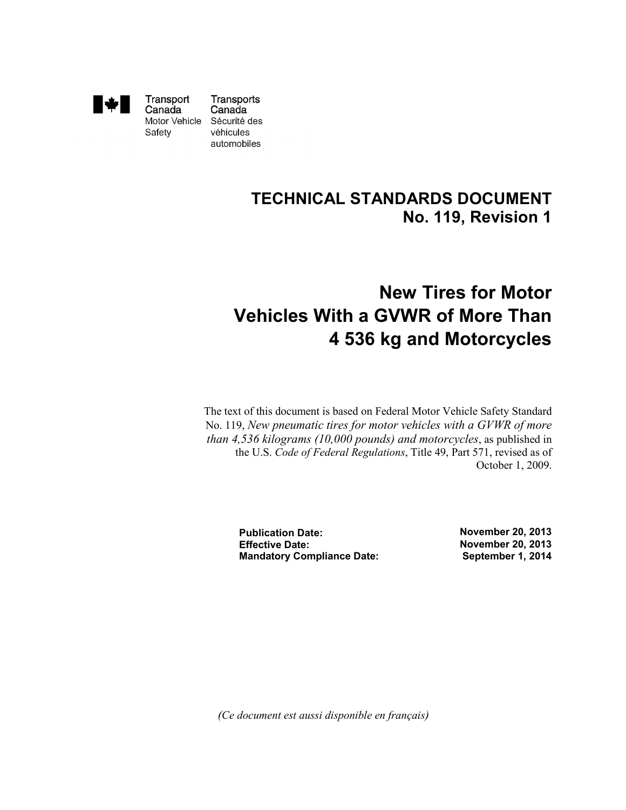

Transport Canada Motor Vehicle Sécurité des Safety

Transports Canada véhicules automobiles

### **TECHNICAL STANDARDS DOCUMENT No. 119, Revision 1**

# **New Tires for Motor Vehicles With a GVWR of More Than 4 536 kg and Motorcycles**

The text of this document is based on Federal Motor Vehicle Safety Standard No. 119, *New pneumatic tires for motor vehicles with a GVWR of more than 4,536 kilograms (10,000 pounds) and motorcycles*, as published in the U.S. *Code of Federal Regulations*, Title 49, Part 571, revised as of October 1, 2009.

> **Publication Date: Effective Date: Mandatory Compliance Date:**

**November 20, 2013 November 20, 2013 September 1, 2014**

 *(Ce document est aussi disponible en français)*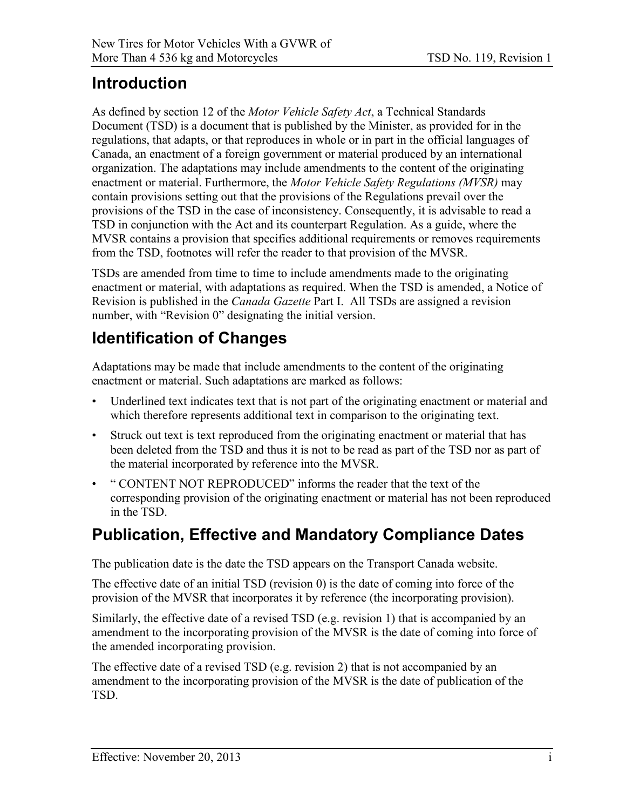### <span id="page-1-0"></span>**Introduction**

As defined by section 12 of the *Motor Vehicle Safety Act*, a Technical Standards Document (TSD) is a document that is published by the Minister, as provided for in the regulations, that adapts, or that reproduces in whole or in part in the official languages of Canada, an enactment of a foreign government or material produced by an international organization. The adaptations may include amendments to the content of the originating enactment or material. Furthermore, the *Motor Vehicle Safety Regulations (MVSR)* may contain provisions setting out that the provisions of the Regulations prevail over the provisions of the TSD in the case of inconsistency. Consequently, it is advisable to read a TSD in conjunction with the Act and its counterpart Regulation. As a guide, where the MVSR contains a provision that specifies additional requirements or removes requirements from the TSD, footnotes will refer the reader to that provision of the MVSR.

TSDs are amended from time to time to include amendments made to the originating enactment or material, with adaptations as required. When the TSD is amended, a Notice of Revision is published in the *Canada Gazette* Part I. All TSDs are assigned a revision number, with "Revision 0" designating the initial version.

## **Identification of Changes**

Adaptations may be made that include amendments to the content of the originating enactment or material. Such adaptations are marked as follows:

- Underlined text indicates text that is not part of the originating enactment or material and which therefore represents additional text in comparison to the originating text.
- Struck out text is text reproduced from the originating enactment or material that has been deleted from the TSD and thus it is not to be read as part of the TSD nor as part of the material incorporated by reference into the MVSR.
- " CONTENT NOT REPRODUCED" informs the reader that the text of the corresponding provision of the originating enactment or material has not been reproduced in the TSD.

### **Publication, Effective and Mandatory Compliance Dates**

The publication date is the date the TSD appears on the Transport Canada website.

The effective date of an initial TSD (revision 0) is the date of coming into force of the provision of the MVSR that incorporates it by reference (the incorporating provision).

Similarly, the effective date of a revised TSD (e.g. revision 1) that is accompanied by an amendment to the incorporating provision of the MVSR is the date of coming into force of the amended incorporating provision.

The effective date of a revised TSD (e.g. revision 2) that is not accompanied by an amendment to the incorporating provision of the MVSR is the date of publication of the TSD.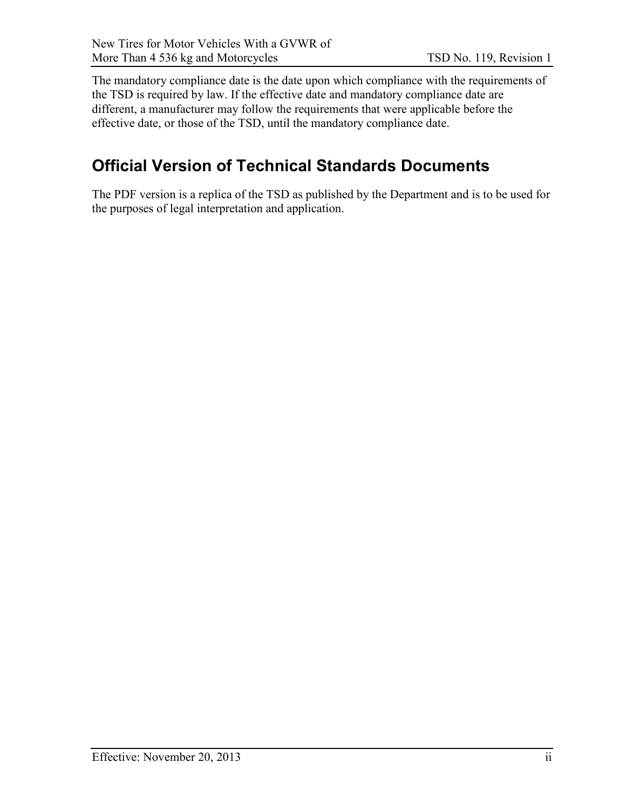The mandatory compliance date is the date upon which compliance with the requirements of the TSD is required by law. If the effective date and mandatory compliance date are different, a manufacturer may follow the requirements that were applicable before the effective date, or those of the TSD, until the mandatory compliance date.

### **Official Version of Technical Standards Documents**

The PDF version is a replica of the TSD as published by the Department and is to be used for the purposes of legal interpretation and application.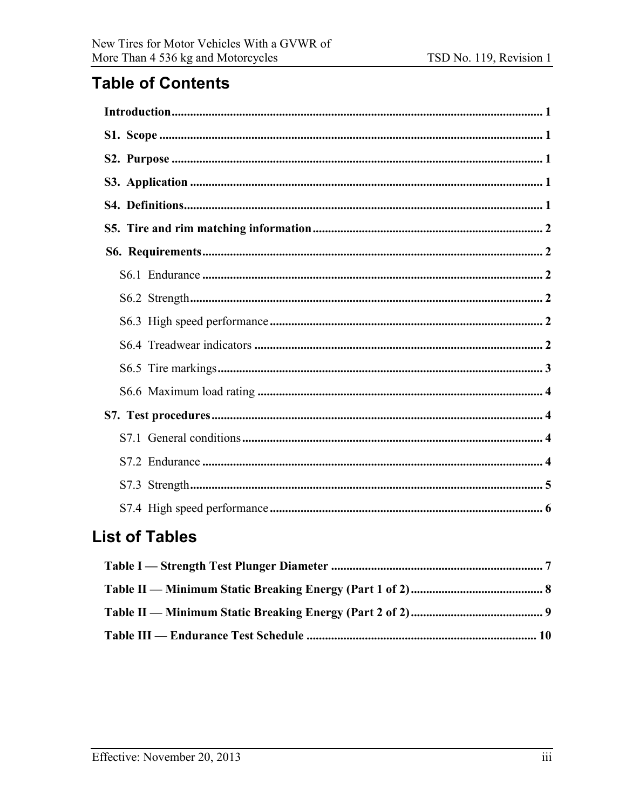### **Table of Contents**

### **List of Tables**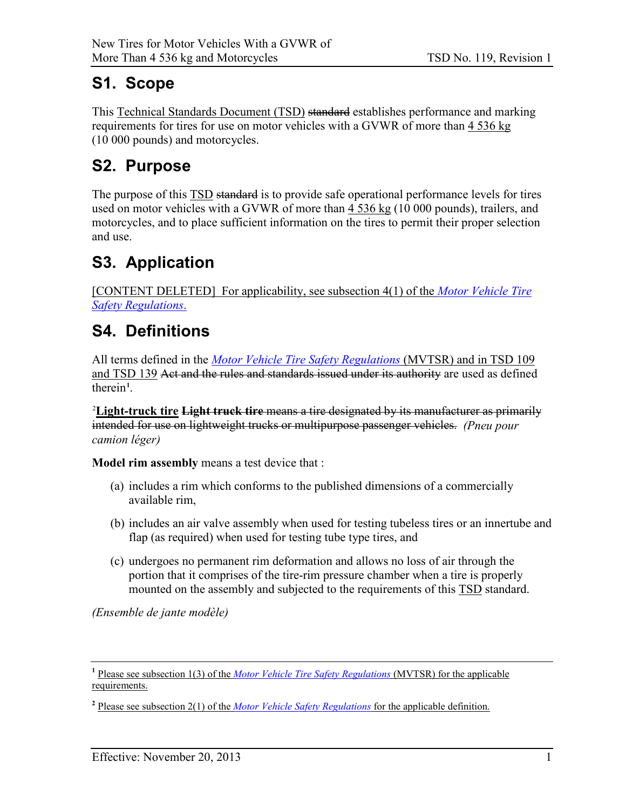### <span id="page-4-0"></span>**S1. Scope**

This Technical Standards Document (TSD) standard establishes performance and marking requirements for tires for use on motor vehicles with a GVWR of more than 4 536 kg (10 000 pounds) and motorcycles.

## <span id="page-4-1"></span>**S2. Purpose**

The purpose of this TSD standard is to provide safe operational performance levels for tires used on motor vehicles with a GVWR of more than  $4\,536\,\mathrm{kg}$  (10 000 pounds), trailers, and motorcycles, and to place sufficient information on the tires to permit their proper selection and use.

# <span id="page-4-2"></span>**S3. Application**

[CONTENT DELETED] For applicability, see subsection 4(1) of the *[Motor Vehicle Tire](http://laws.justice.gc.ca/eng/regulations/SOR-2013-198/)  [Safety Regulations](http://laws.justice.gc.ca/eng/regulations/SOR-2013-198/)*.

### <span id="page-4-3"></span>**S4. Definitions**

All terms defined in the *[Motor Vehicle Tire Safety Regulations](http://laws.justice.gc.ca/eng/regulations/SOR-2013-198/)* (MVTSR) and in TSD 109 and TSD 139 Act and the rules and standards issued under its authority are used as defined therein**<sup>1</sup>** .

2 **Light-truck tire Light truck tire** means a tire designated by its manufacturer as primarily intended for use on lightweight trucks or multipurpose passenger vehicles. *(Pneu pour camion léger)*

**Model rim assembly** means a test device that :

- (a) includes a rim which conforms to the published dimensions of a commercially available rim,
- (b) includes an air valve assembly when used for testing tubeless tires or an innertube and flap (as required) when used for testing tube type tires, and
- (c) undergoes no permanent rim deformation and allows no loss of air through the portion that it comprises of the tire-rim pressure chamber when a tire is properly mounted on the assembly and subjected to the requirements of this **TSD** standard.

*(Ensemble de jante modèle)*

**<sup>1</sup>** Please see subsection 1(3) of the *[Motor Vehicle Tire Safety Regulations](http://laws.justice.gc.ca/eng/regulations/SOR-2013-198/)* (MVTSR) for the applicable requirements.

**<sup>2</sup>** Please see subsection 2(1) of the *[Motor Vehicle Safety Regulations](http://laws-lois.justice.gc.ca/eng/regulations/C.R.C.,_c._1038/)* for the applicable definition.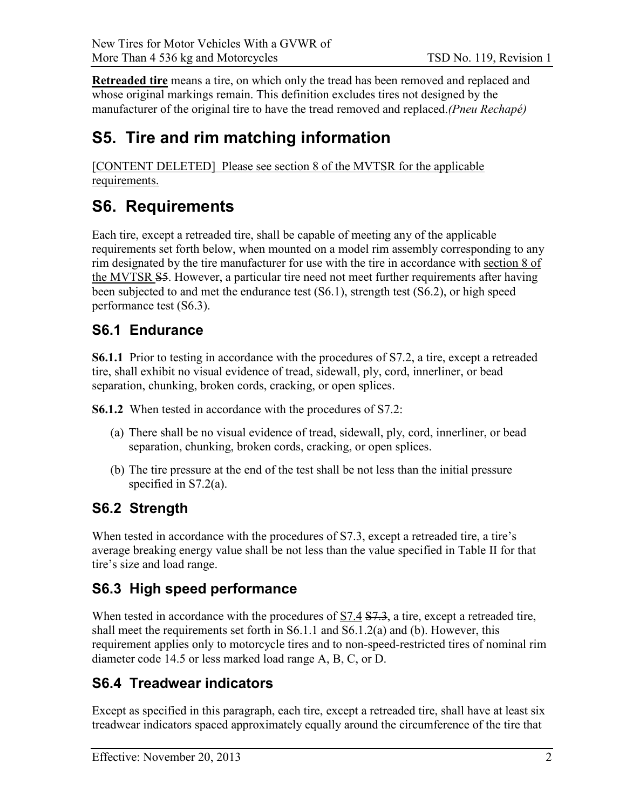**Retreaded tire** means a tire, on which only the tread has been removed and replaced and whose original markings remain. This definition excludes tires not designed by the manufacturer of the original tire to have the tread removed and replaced.*(Pneu Rechapé)*

### <span id="page-5-0"></span>**S5. Tire and rim matching information**

[CONTENT DELETED] Please see section 8 of the MVTSR for the applicable requirements.

### <span id="page-5-1"></span>**S6. Requirements**

Each tire, except a retreaded tire, shall be capable of meeting any of the applicable requirements set forth below, when mounted on a model rim assembly corresponding to any rim designated by the tire manufacturer for use with the tire in accordance with section 8 of the MVTSR S5. However, a particular tire need not meet further requirements after having been subjected to and met the endurance test (S6.1), strength test (S6.2), or high speed performance test (S6.3).

#### <span id="page-5-2"></span>**S6.1 Endurance**

**S6.1.1** Prior to testing in accordance with the procedures of S7.2, a tire, except a retreaded tire, shall exhibit no visual evidence of tread, sidewall, ply, cord, innerliner, or bead separation, chunking, broken cords, cracking, or open splices.

**S6.1.2** When tested in accordance with the procedures of S7.2:

- (a) There shall be no visual evidence of tread, sidewall, ply, cord, innerliner, or bead separation, chunking, broken cords, cracking, or open splices.
- (b) The tire pressure at the end of the test shall be not less than the initial pressure specified in S7.2(a).

### <span id="page-5-3"></span>**S6.2 Strength**

When tested in accordance with the procedures of S7.3, except a retreaded tire, a tire's average breaking energy value shall be not less than the value specified in Table II for that tire's size and load range.

#### <span id="page-5-4"></span>**S6.3 High speed performance**

When tested in accordance with the procedures of  $S7.4 S7.3$ , a tire, except a retreaded tire, shall meet the requirements set forth in S6.1.1 and S6.1.2(a) and (b). However, this requirement applies only to motorcycle tires and to non-speed-restricted tires of nominal rim diameter code 14.5 or less marked load range A, B, C, or D.

#### <span id="page-5-5"></span>**S6.4 Treadwear indicators**

Except as specified in this paragraph, each tire, except a retreaded tire, shall have at least six treadwear indicators spaced approximately equally around the circumference of the tire that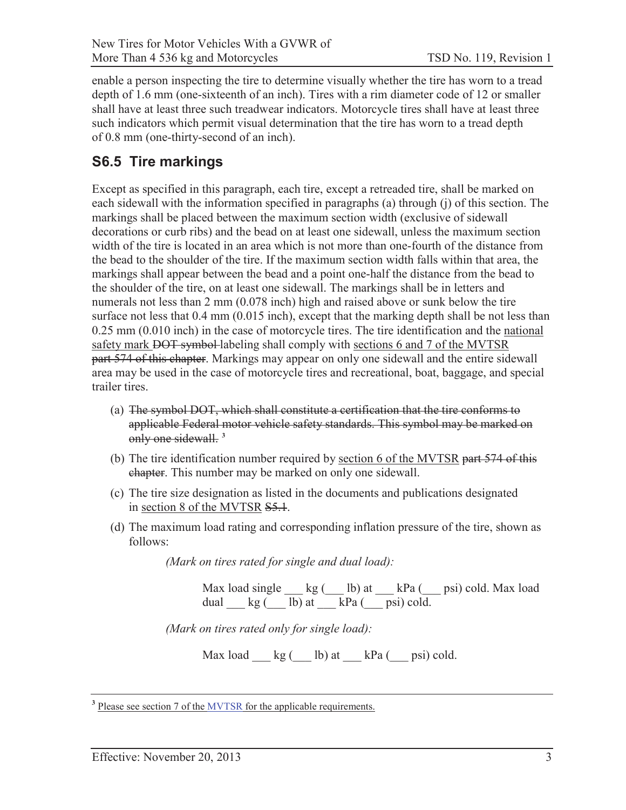enable a person inspecting the tire to determine visually whether the tire has worn to a tread depth of 1.6 mm (one-sixteenth of an inch). Tires with a rim diameter code of 12 or smaller shall have at least three such treadwear indicators. Motorcycle tires shall have at least three such indicators which permit visual determination that the tire has worn to a tread depth of 0.8 mm (one-thirty-second of an inch).

#### **S6.5 Tire markings**

 markings shall be placed between the maximum section width (exclusive of sidewall the bead to the shoulder of the tire. If the maximum section width falls within that area, the trailer tires. Except as specified in this paragraph, each tire, except a retreaded tire, shall be marked on each sidewall with the information specified in paragraphs (a) through (j) of this section. The decorations or curb ribs) and the bead on at least one sidewall, unless the maximum section width of the tire is located in an area which is not more than one-fourth of the distance from markings shall appear between the bead and a point one-half the distance from the bead to the shoulder of the tire, on at least one sidewall. The markings shall be in letters and numerals not less than 2 mm (0.078 inch) high and raised above or sunk below the tire surface not less that 0.4 mm (0.015 inch), except that the marking depth shall be not less than 0.25 mm (0.010 inch) in the case of motorcycle tires. The tire identification and the national safety mark <del>DOT symbol</del>-labeling shall comply with sections 6 and 7 of the MVTSR part 574 of this chapter. Markings may appear on only one sidewall and the entire sidewall area may be used in the case of motorcycle tires and recreational, boat, baggage, and special

- (a) The symbol DOT, which shall constitute a certification that the tire conforms to applicable Federal motor vehicle safety standards. This symbol may be marked on only one sidewall. **<sup>3</sup>**
- (b) The tire identification number required by section 6 of the MVTSR part 574 of this ehapter. This number may be marked on only one sidewall.
- (c) The tire size designation as listed in the documents and publications designated in section 8 of the MVTSR S5.1.
- (d) The maximum load rating and corresponding inflation pressure of the tire, shown as follows:

*(Mark on tires rated for single and dual load):* 

Max load single  $\qquad$  kg ( $\qquad$  lb) at  $\qquad$  kPa ( $\qquad$  psi) cold. Max load dual  $_kg$  ( $\blacksquare$  lb) at  $\blacksquare$  kPa ( $\blacksquare$  psi) cold.

*(Mark on tires rated only for single load):* 

Max load  $kg$  (  $lb$ ) at  $kPa$  (  $psi$  psi) cold.

<sup>&</sup>lt;sup>3</sup> Please see section 7 of the [MVTSR](http://laws.justice.gc.ca/eng/regulations/SOR-2013-198/) for the applicable requirements.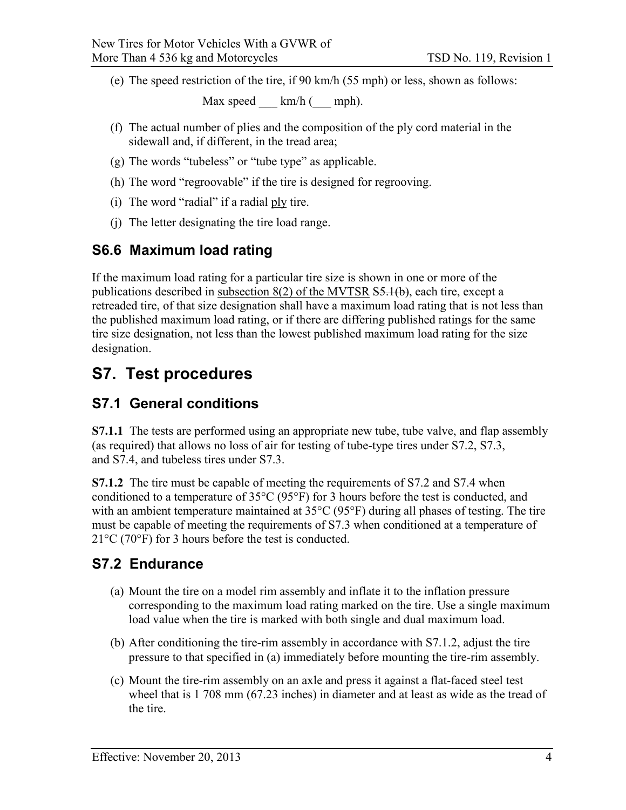(e) The speed restriction of the tire, if 90 km/h (55 mph) or less, shown as follows:

Max speed  $km/h$  ( mph).

- (f) The actual number of plies and the composition of the ply cord material in the sidewall and, if different, in the tread area;
- (g) The words "tubeless" or "tube type" as applicable.
- (h) The word "regroovable" if the tire is designed for regrooving.
- (i) The word "radial" if a radial ply tire.
- (j) The letter designating the tire load range.

#### <span id="page-7-0"></span>**S6.6 Maximum load rating**

If the maximum load rating for a particular tire size is shown in one or more of the publications described in subsection 8(2) of the MVTSR <del>S5.1(b)</del>, each tire, except a retreaded tire, of that size designation shall have a maximum load rating that is not less than the published maximum load rating, or if there are differing published ratings for the same tire size designation, not less than the lowest published maximum load rating for the size designation.

### <span id="page-7-1"></span>**S7. Test procedures**

#### <span id="page-7-2"></span>**S7.1 General conditions**

**S7.1.1** The tests are performed using an appropriate new tube, tube valve, and flap assembly (as required) that allows no loss of air for testing of tube-type tires under S7.2, S7.3, and S7.4, and tubeless tires under S7.3.

**S7.1.2** The tire must be capable of meeting the requirements of S7.2 and S7.4 when conditioned to a temperature of 35°C (95°F) for 3 hours before the test is conducted, and with an ambient temperature maintained at 35°C (95°F) during all phases of testing. The tire must be capable of meeting the requirements of S7.3 when conditioned at a temperature of  $21^{\circ}$ C (70 $^{\circ}$ F) for 3 hours before the test is conducted.

#### <span id="page-7-3"></span>**S7.2 Endurance**

- (a) Mount the tire on a model rim assembly and inflate it to the inflation pressure corresponding to the maximum load rating marked on the tire. Use a single maximum load value when the tire is marked with both single and dual maximum load.
- (b) After conditioning the tire-rim assembly in accordance with S7.1.2, adjust the tire pressure to that specified in (a) immediately before mounting the tire-rim assembly.
- (c) Mount the tire-rim assembly on an axle and press it against a flat-faced steel test wheel that is 1 708 mm (67.23 inches) in diameter and at least as wide as the tread of the tire.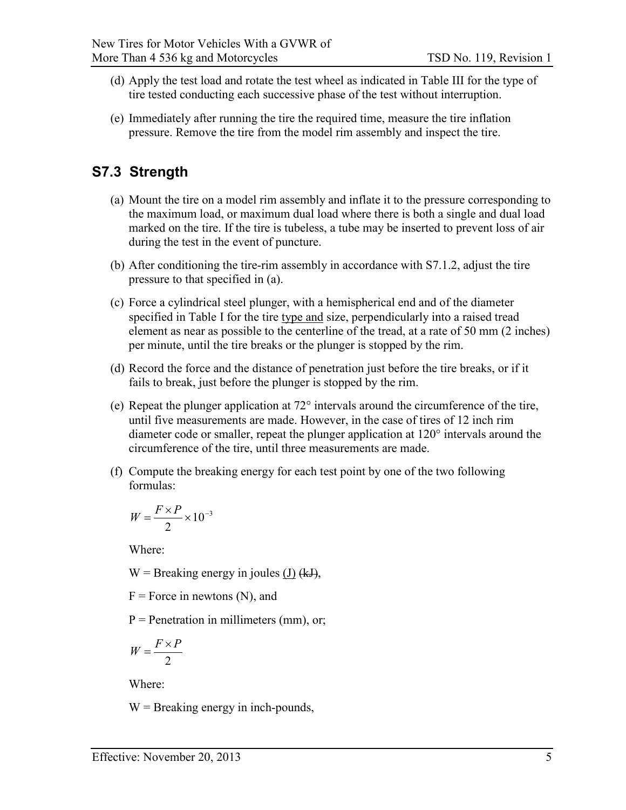- (d) Apply the test load and rotate the test wheel as indicated in Table III for the type of tire tested conducting each successive phase of the test without interruption.
- (e) Immediately after running the tire the required time, measure the tire inflation pressure. Remove the tire from the model rim assembly and inspect the tire.

#### <span id="page-8-0"></span>**S7.3 Strength**

- (a) Mount the tire on a model rim assembly and inflate it to the pressure corresponding to the maximum load, or maximum dual load where there is both a single and dual load marked on the tire. If the tire is tubeless, a tube may be inserted to prevent loss of air during the test in the event of puncture.
- (b) After conditioning the tire-rim assembly in accordance with S7.1.2, adjust the tire pressure to that specified in (a).
- (c) Force a cylindrical steel plunger, with a hemispherical end and of the diameter specified in Table I for the tire type and size, perpendicularly into a raised tread element as near as possible to the centerline of the tread, at a rate of 50 mm (2 inches) per minute, until the tire breaks or the plunger is stopped by the rim.
- (d) Record the force and the distance of penetration just before the tire breaks, or if it fails to break, just before the plunger is stopped by the rim.
- (e) Repeat the plunger application at  $72^{\circ}$  intervals around the circumference of the tire, until five measurements are made. However, in the case of tires of 12 inch rim diameter code or smaller, repeat the plunger application at 120° intervals around the circumference of the tire, until three measurements are made.
- (f) Compute the breaking energy for each test point by one of the two following formulas:

$$
W = \frac{F \times P}{2} \times 10^{-3}
$$

Where:

W = Breaking energy in joules  $(J)$  (kJ),

 $F =$  Force in newtons (N), and

 $P =$  Penetration in millimeters (mm), or;

$$
W = \frac{F \times P}{2}
$$

Where:

 $W =$  Breaking energy in inch-pounds,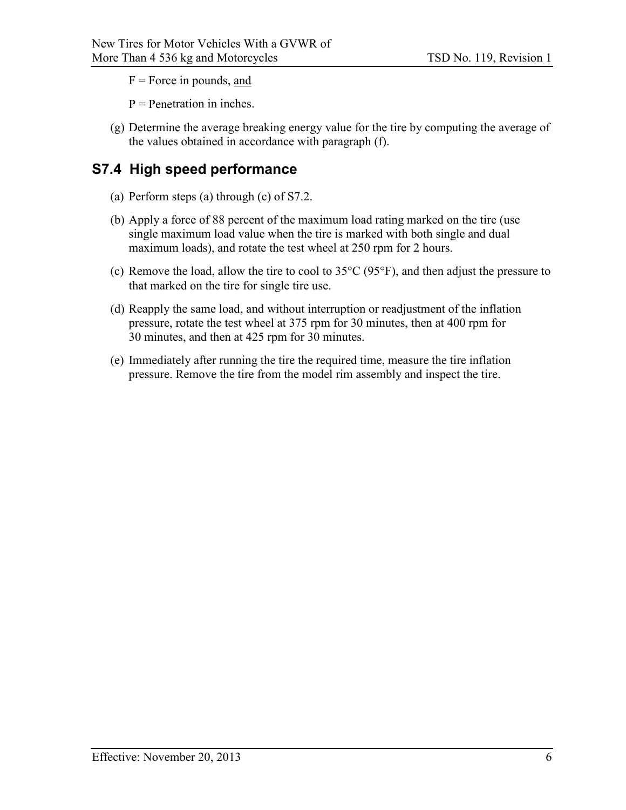F = Force in pounds, and

 $P =$  Penetration in inches.

(g) Determine the average breaking energy value for the tire by computing the average of the values obtained in accordance with paragraph (f).

#### <span id="page-9-0"></span>**S7.4 High speed performance**

- (a) Perform steps (a) through (c) of S7.2.
- (b) Apply a force of 88 percent of the maximum load rating marked on the tire (use single maximum load value when the tire is marked with both single and dual maximum loads), and rotate the test wheel at 250 rpm for 2 hours.
- (c) Remove the load, allow the tire to cool to 35°C (95°F), and then adjust the pressure to that marked on the tire for single tire use.
- (d) Reapply the same load, and without interruption or readjustment of the inflation pressure, rotate the test wheel at 375 rpm for 30 minutes, then at 400 rpm for 30 minutes, and then at 425 rpm for 30 minutes.
- (e) Immediately after running the tire the required time, measure the tire inflation pressure. Remove the tire from the model rim assembly and inspect the tire.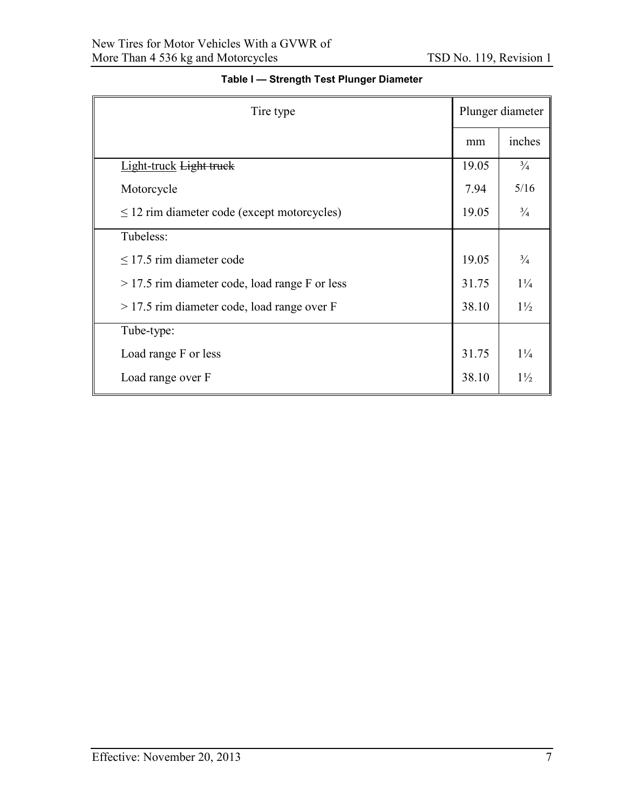<span id="page-10-0"></span>

| Tire type                                        | Plunger diameter |                |
|--------------------------------------------------|------------------|----------------|
|                                                  | mm               | inches         |
| Light-truck Light truck                          | 19.05            | $\frac{3}{4}$  |
| Motorcycle                                       | 7.94             | 5/16           |
| $\leq$ 12 rim diameter code (except motorcycles) | 19.05            | $\frac{3}{4}$  |
| Tubeless:                                        |                  |                |
| $\leq$ 17.5 rim diameter code                    | 19.05            | $\frac{3}{4}$  |
| $>$ 17.5 rim diameter code, load range F or less | 31.75            | $1\frac{1}{4}$ |
| $>$ 17.5 rim diameter code, load range over F    | 38.10            | $1\frac{1}{2}$ |
| Tube-type:                                       |                  |                |
| Load range F or less                             | 31.75            | $1\frac{1}{4}$ |
| Load range over F                                | 38.10            | $1\frac{1}{2}$ |

#### **Table I — Strength Test Plunger Diameter**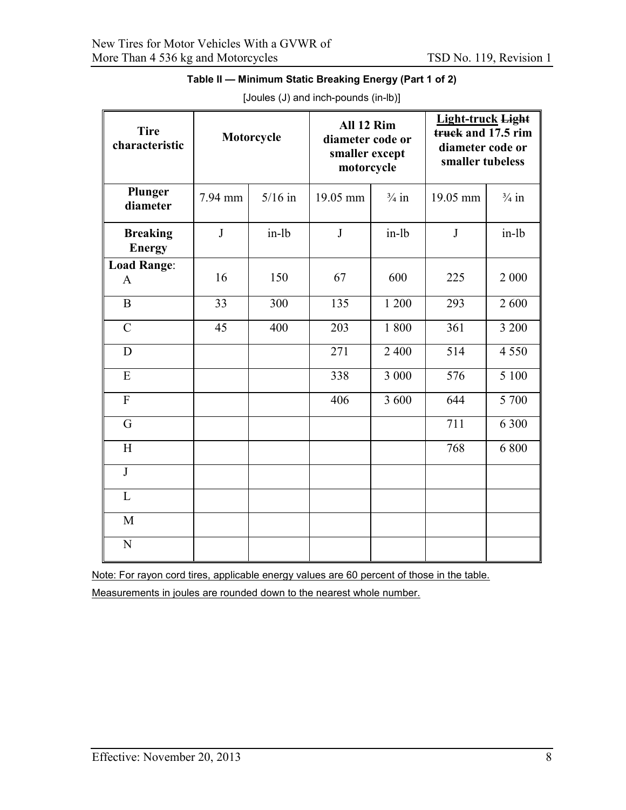<span id="page-11-0"></span>

| <b>Tire</b><br>characteristic    |              | Motorcycle | All 12 Rim<br>diameter code or<br>smaller except<br>motorcycle |                  | <b>Light-truck Light</b><br>truck and 17.5 rim<br>diameter code or<br>smaller tubeless |                  |  |
|----------------------------------|--------------|------------|----------------------------------------------------------------|------------------|----------------------------------------------------------------------------------------|------------------|--|
| Plunger<br>diameter              | 7.94 mm      | $5/16$ in  | 19.05 mm                                                       | $\frac{3}{4}$ in | 19.05 mm                                                                               | $\frac{3}{4}$ in |  |
| <b>Breaking</b><br><b>Energy</b> | $\mathbf{J}$ | $in-lb$    | J                                                              | $in-lb$          | J                                                                                      | $in-lb$          |  |
| <b>Load Range:</b><br>A          | 16           | 150        | 67                                                             | 600              | 225                                                                                    | 2 000            |  |
| $\mathbf B$                      | 33           | 300        | 135                                                            | 1 200            | 293                                                                                    | 2600             |  |
| $\mathcal{C}$                    | 45           | 400        | 203                                                            | 1 800            | 361                                                                                    | 3 200            |  |
| D                                |              |            | 271                                                            | 2 4 0 0          | 514                                                                                    | 4 5 5 0          |  |
| E                                |              |            | 338                                                            | 3 000            | 576                                                                                    | 5 100            |  |
| $\overline{F}$                   |              |            | 406                                                            | 3 600            | 644                                                                                    | 5 700            |  |
| G                                |              |            |                                                                |                  | 711                                                                                    | 6 300            |  |
| H                                |              |            |                                                                |                  | 768                                                                                    | 6 800            |  |
| $\mathbf{J}$                     |              |            |                                                                |                  |                                                                                        |                  |  |
| L                                |              |            |                                                                |                  |                                                                                        |                  |  |
| M                                |              |            |                                                                |                  |                                                                                        |                  |  |
| N                                |              |            |                                                                |                  |                                                                                        |                  |  |

**Table II — Minimum Static Breaking Energy (Part 1 of 2)** [Joules (J) and inch-pounds (in-lb)]

Note: For rayon cord tires, applicable energy values are 60 percent of those in the table.

<span id="page-11-1"></span>Measurements in joules are rounded down to the nearest whole number.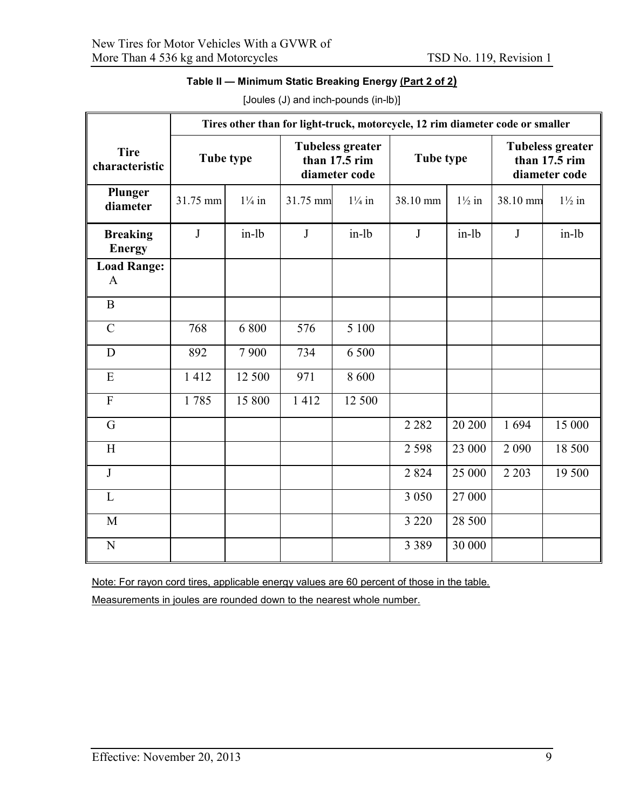| Table II — Minimum Static Breaking Energy <u>(Part 2 of 2)</u> |  |
|----------------------------------------------------------------|--|
|----------------------------------------------------------------|--|

|                                  | Tires other than for light-truck, motorcycle, 12 rim diameter code or smaller |                   |                                                           |                   |           |                   |                                                           |                   |
|----------------------------------|-------------------------------------------------------------------------------|-------------------|-----------------------------------------------------------|-------------------|-----------|-------------------|-----------------------------------------------------------|-------------------|
| <b>Tire</b><br>characteristic    |                                                                               | Tube type         | <b>Tubeless greater</b><br>than 17.5 rim<br>diameter code |                   | Tube type |                   | <b>Tubeless greater</b><br>than 17.5 rim<br>diameter code |                   |
| Plunger<br>diameter              | 31.75 mm                                                                      | $1\frac{1}{4}$ in | 31.75 mm                                                  | $1\frac{1}{4}$ in | 38.10 mm  | $1\frac{1}{2}$ in | 38.10 mm                                                  | $1\frac{1}{2}$ in |
| <b>Breaking</b><br><b>Energy</b> | $\bf J$                                                                       | in-lb             | $\bf J$                                                   | $in-lb$           | $\bf J$   | $in-lb$           | $\mathbf{J}$                                              | $in-lb$           |
| <b>Load Range:</b><br>A          |                                                                               |                   |                                                           |                   |           |                   |                                                           |                   |
| $\, {\bf B}$                     |                                                                               |                   |                                                           |                   |           |                   |                                                           |                   |
| $\mathbf C$                      | 768                                                                           | 6 800             | 576                                                       | 5 100             |           |                   |                                                           |                   |
| D                                | 892                                                                           | 7900              | 734                                                       | 6 500             |           |                   |                                                           |                   |
| E                                | 1412                                                                          | 12 500            | 971                                                       | 8 600             |           |                   |                                                           |                   |
| $\overline{F}$                   | 1785                                                                          | 15 800            | 1412                                                      | 12 500            |           |                   |                                                           |                   |
| $\mathbf G$                      |                                                                               |                   |                                                           |                   | 2 2 8 2   | 20 200            | 1694                                                      | 15 000            |
| H                                |                                                                               |                   |                                                           |                   | 2 5 9 8   | 23 000            | 2 0 9 0                                                   | 18 500            |
| $\mathbf{J}$                     |                                                                               |                   |                                                           |                   | 2824      | 25 000            | 2 2 0 3                                                   | 19 500            |
| L                                |                                                                               |                   |                                                           |                   | 3 0 5 0   | 27 000            |                                                           |                   |
| M                                |                                                                               |                   |                                                           |                   | 3 2 2 0   | 28 500            |                                                           |                   |
| N                                |                                                                               |                   |                                                           |                   | 3 3 8 9   | 30 000            |                                                           |                   |

[Joules (J) and inch-pounds (in-lb)]

Note: For rayon cord tires, applicable energy values are 60 percent of those in the table.

Measurements in joules are rounded down to the nearest whole number.